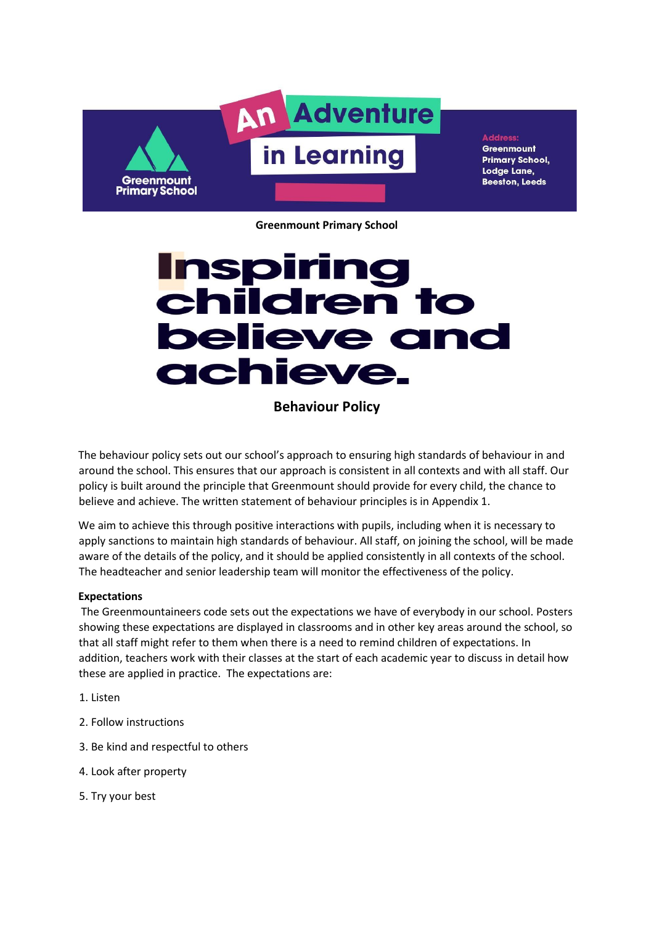

**Greenmount Primary School,** Lodge Lane, **Beeston, Leeds** 

**Greenmount Primary School** 

# **Inspiring<br>children to believe and** achieve.

**Behaviour Policy** 

The behaviour policy sets out our school's approach to ensuring high standards of behaviour in and around the school. This ensures that our approach is consistent in all contexts and with all staff. Our policy is built around the principle that Greenmount should provide for every child, the chance to believe and achieve. The written statement of behaviour principles is in Appendix 1.

We aim to achieve this through positive interactions with pupils, including when it is necessary to apply sanctions to maintain high standards of behaviour. All staff, on joining the school, will be made aware of the details of the policy, and it should be applied consistently in all contexts of the school. The headteacher and senior leadership team will monitor the effectiveness of the policy.

## **Expectations**

The Greenmountaineers code sets out the expectations we have of everybody in our school. Posters showing these expectations are displayed in classrooms and in other key areas around the school, so that all staff might refer to them when there is a need to remind children of expectations. In addition, teachers work with their classes at the start of each academic year to discuss in detail how these are applied in practice. The expectations are:

- 1. Listen
- 2. Follow instructions
- 3. Be kind and respectful to others
- 4. Look after property
- 5. Try your best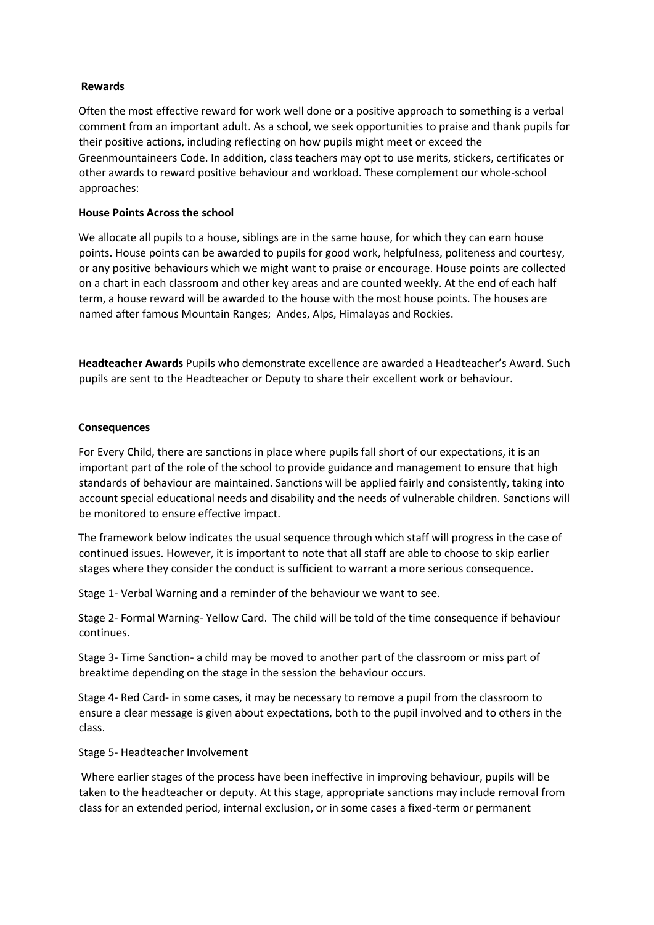## **Rewards**

Often the most effective reward for work well done or a positive approach to something is a verbal comment from an important adult. As a school, we seek opportunities to praise and thank pupils for their positive actions, including reflecting on how pupils might meet or exceed the Greenmountaineers Code. In addition, class teachers may opt to use merits, stickers, certificates or other awards to reward positive behaviour and workload. These complement our whole-school approaches:

## **House Points Across the school**

We allocate all pupils to a house, siblings are in the same house, for which they can earn house points. House points can be awarded to pupils for good work, helpfulness, politeness and courtesy, or any positive behaviours which we might want to praise or encourage. House points are collected on a chart in each classroom and other key areas and are counted weekly. At the end of each half term, a house reward will be awarded to the house with the most house points. The houses are named after famous Mountain Ranges; Andes, Alps, Himalayas and Rockies.

**Headteacher Awards** Pupils who demonstrate excellence are awarded a Headteacher's Award. Such pupils are sent to the Headteacher or Deputy to share their excellent work or behaviour.

## **Consequences**

For Every Child, there are sanctions in place where pupils fall short of our expectations, it is an important part of the role of the school to provide guidance and management to ensure that high standards of behaviour are maintained. Sanctions will be applied fairly and consistently, taking into account special educational needs and disability and the needs of vulnerable children. Sanctions will be monitored to ensure effective impact.

The framework below indicates the usual sequence through which staff will progress in the case of continued issues. However, it is important to note that all staff are able to choose to skip earlier stages where they consider the conduct is sufficient to warrant a more serious consequence.

Stage 1- Verbal Warning and a reminder of the behaviour we want to see.

Stage 2- Formal Warning- Yellow Card. The child will be told of the time consequence if behaviour continues.

Stage 3- Time Sanction- a child may be moved to another part of the classroom or miss part of breaktime depending on the stage in the session the behaviour occurs.

Stage 4- Red Card- in some cases, it may be necessary to remove a pupil from the classroom to ensure a clear message is given about expectations, both to the pupil involved and to others in the class.

## Stage 5- Headteacher Involvement

Where earlier stages of the process have been ineffective in improving behaviour, pupils will be taken to the headteacher or deputy. At this stage, appropriate sanctions may include removal from class for an extended period, internal exclusion, or in some cases a fixed-term or permanent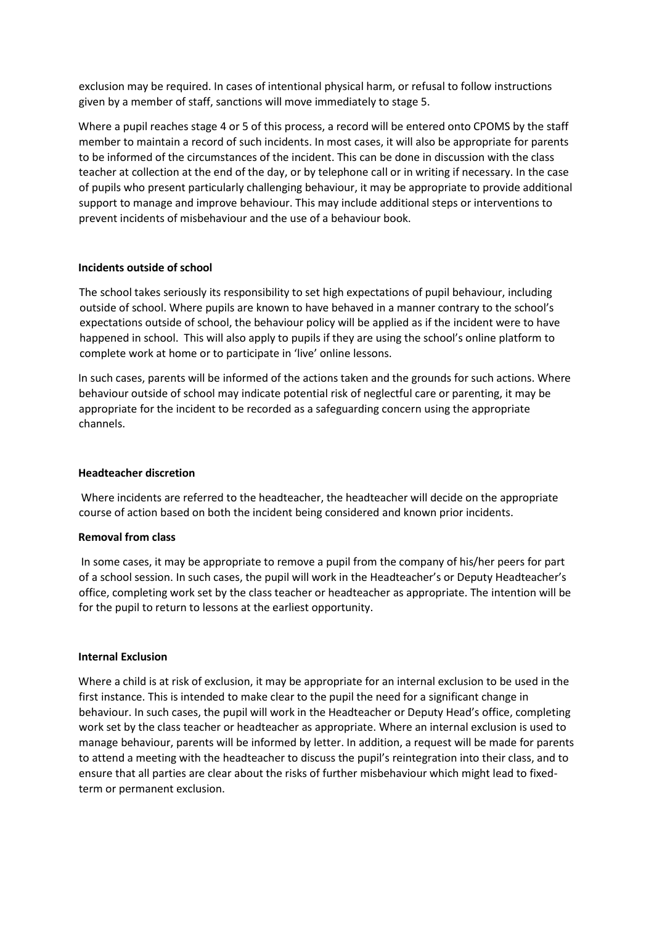exclusion may be required. In cases of intentional physical harm, or refusal to follow instructions given by a member of staff, sanctions will move immediately to stage 5.

Where a pupil reaches stage 4 or 5 of this process, a record will be entered onto CPOMS by the staff member to maintain a record of such incidents. In most cases, it will also be appropriate for parents to be informed of the circumstances of the incident. This can be done in discussion with the class teacher at collection at the end of the day, or by telephone call or in writing if necessary. In the case of pupils who present particularly challenging behaviour, it may be appropriate to provide additional support to manage and improve behaviour. This may include additional steps or interventions to prevent incidents of misbehaviour and the use of a behaviour book.

## **Incidents outside of school**

The school takes seriously its responsibility to set high expectations of pupil behaviour, including outside of school. Where pupils are known to have behaved in a manner contrary to the school's expectations outside of school, the behaviour policy will be applied as if the incident were to have happened in school. This will also apply to pupils if they are using the school's online platform to complete work at home or to participate in 'live' online lessons.

In such cases, parents will be informed of the actions taken and the grounds for such actions. Where behaviour outside of school may indicate potential risk of neglectful care or parenting, it may be appropriate for the incident to be recorded as a safeguarding concern using the appropriate channels.

#### **Headteacher discretion**

Where incidents are referred to the headteacher, the headteacher will decide on the appropriate course of action based on both the incident being considered and known prior incidents.

## **Removal from class**

In some cases, it may be appropriate to remove a pupil from the company of his/her peers for part of a school session. In such cases, the pupil will work in the Headteacher's or Deputy Headteacher's office, completing work set by the class teacher or headteacher as appropriate. The intention will be for the pupil to return to lessons at the earliest opportunity.

#### **Internal Exclusion**

Where a child is at risk of exclusion, it may be appropriate for an internal exclusion to be used in the first instance. This is intended to make clear to the pupil the need for a significant change in behaviour. In such cases, the pupil will work in the Headteacher or Deputy Head's office, completing work set by the class teacher or headteacher as appropriate. Where an internal exclusion is used to manage behaviour, parents will be informed by letter. In addition, a request will be made for parents to attend a meeting with the headteacher to discuss the pupil's reintegration into their class, and to ensure that all parties are clear about the risks of further misbehaviour which might lead to fixedterm or permanent exclusion.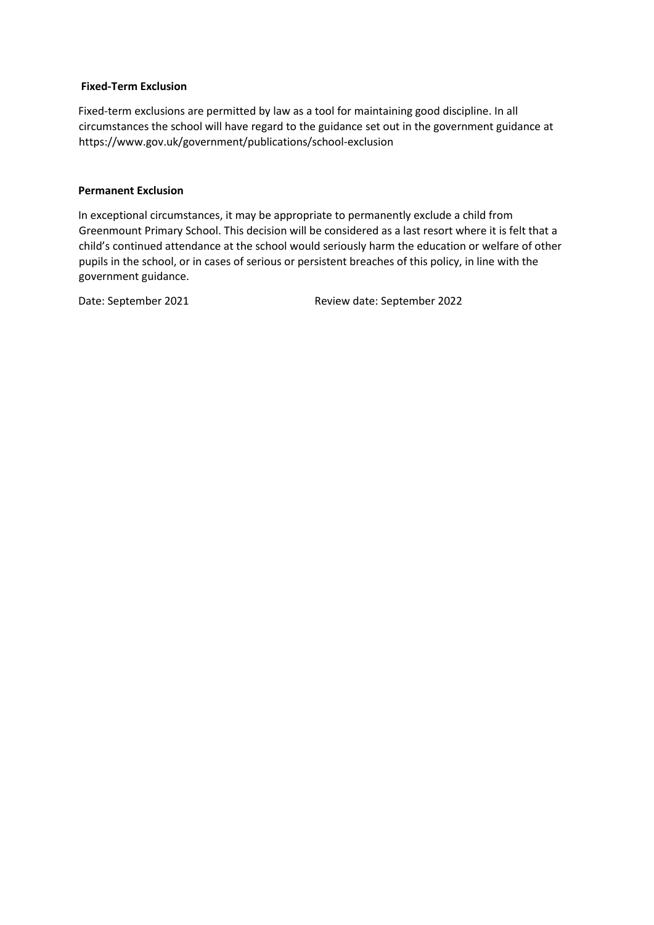## **Fixed-Term Exclusion**

Fixed-term exclusions are permitted by law as a tool for maintaining good discipline. In all circumstances the school will have regard to the guidance set out in the government guidance at https://www.gov.uk/government/publications/school-exclusion

#### **Permanent Exclusion**

In exceptional circumstances, it may be appropriate to permanently exclude a child from Greenmount Primary School. This decision will be considered as a last resort where it is felt that a child's continued attendance at the school would seriously harm the education or welfare of other pupils in the school, or in cases of serious or persistent breaches of this policy, in line with the government guidance.

Date: September 2021 Review date: September 2022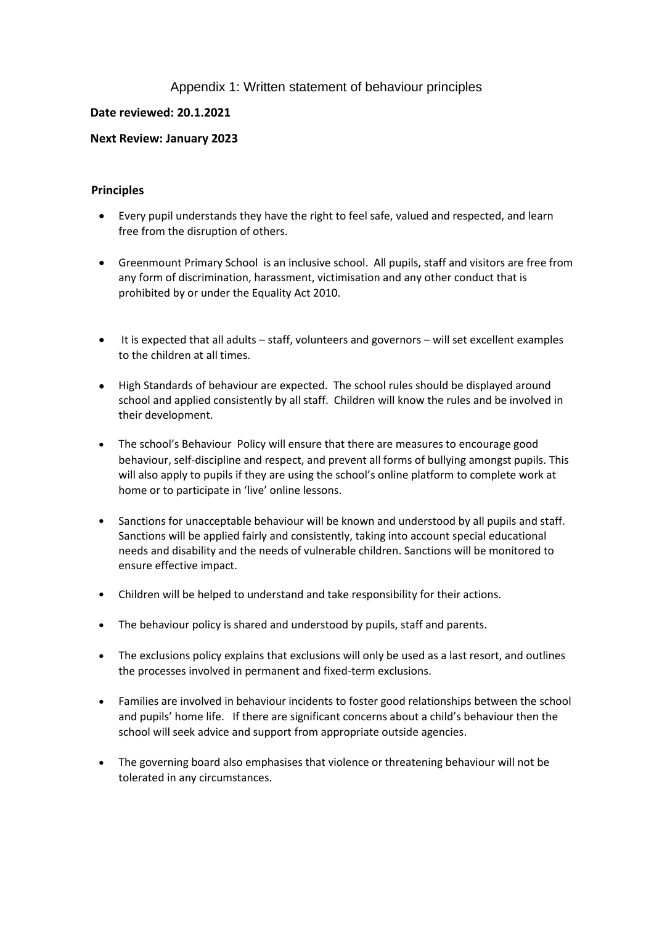# Appendix 1: Written statement of behaviour principles

# **Date reviewed: 20.1.2021**

# **Next Review: January 2023**

## **Principles**

- Every pupil understands they have the right to feel safe, valued and respected, and learn free from the disruption of others.
- Greenmount Primary School is an inclusive school. All pupils, staff and visitors are free from any form of discrimination, harassment, victimisation and any other conduct that is prohibited by or under the Equality Act 2010.
- It is expected that all adults staff, volunteers and governors will set excellent examples to the children at all times.
- High Standards of behaviour are expected. The school rules should be displayed around school and applied consistently by all staff. Children will know the rules and be involved in their development.
- The school's Behaviour Policy will ensure that there are measures to encourage good behaviour, self-discipline and respect, and prevent all forms of bullying amongst pupils. This will also apply to pupils if they are using the school's online platform to complete work at home or to participate in 'live' online lessons.
- Sanctions for unacceptable behaviour will be known and understood by all pupils and staff. Sanctions will be applied fairly and consistently, taking into account special educational needs and disability and the needs of vulnerable children. Sanctions will be monitored to ensure effective impact.
- Children will be helped to understand and take responsibility for their actions.
- The behaviour policy is shared and understood by pupils, staff and parents.
- The exclusions policy explains that exclusions will only be used as a last resort, and outlines the processes involved in permanent and fixed-term exclusions.
- Families are involved in behaviour incidents to foster good relationships between the school and pupils' home life. If there are significant concerns about a child's behaviour then the school will seek advice and support from appropriate outside agencies.
- The governing board also emphasises that violence or threatening behaviour will not be tolerated in any circumstances.